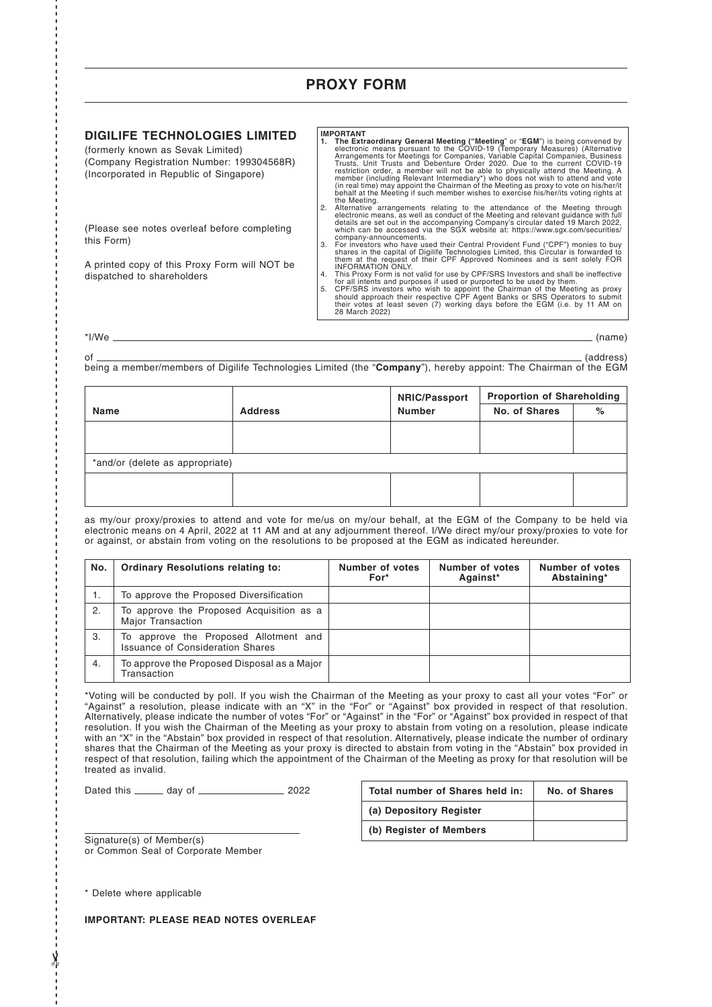## **PROXY FORM**

## **DIGILIFE TECHNOLOGIES LIMITED**

(formerly known as Sevak Limited) (Company Registration Number: 199304568R) (Incorporated in Republic of Singapore)

(Please see notes overleaf before completing this Form)

A printed copy of this Proxy Form will NOT be dispatched to shareholders

**IMPORTANT**<br>1. **The Extraordinary General Meeting ("Meeting"** or "EGM") is being convened by<br>electronic means pursuant to the COVID-19 (Temporary Measures) (Alternative<br>Arrangements for Meetings for Companies, Variable Cap

the Meeting.<br>
2. Alternative arrangements relating to the attendance of the Meeting through<br>
electronic means, as well as conduct of the Meeting and relevant guidance with full<br>
details are set out in the accompanying Comp

- them at the request of their CPF Approved Nominees and is sent solely FOR
- 
- INFORMATION ONLY.<br>This Proxy Form is not valid for use by CPF/SRS Investors and shall be ineffective<br>for all intents and purposes if used or purported to be used by them.<br>5. CPF/SRS investors who wish to appoint the Chairm 28 March 2022)

\*I/We (name)

- - - - - - - - - - - - - - - - - - - - - - - - - - - - - - - - - - - - - - - - - - - - - - - - - - - - - - - - - - - - - - - - - - - - - - - - - - - - - - - - - - - - - - - - - - - - - - - - - - - - - - - - - - - - - - - - - - - - - - - - - - - - - - - - - - - - - - - - - - - - - - -

✂

of (address) being a member/members of Digilife Technologies Limited (the "**Company**"), hereby appoint: The Chairman of the EGM

|                                 |                | <b>NRIC/Passport</b> | <b>Proportion of Shareholding</b> |   |  |  |  |
|---------------------------------|----------------|----------------------|-----------------------------------|---|--|--|--|
| <b>Name</b>                     | <b>Address</b> | <b>Number</b>        | No. of Shares                     | % |  |  |  |
|                                 |                |                      |                                   |   |  |  |  |
|                                 |                |                      |                                   |   |  |  |  |
| *and/or (delete as appropriate) |                |                      |                                   |   |  |  |  |
|                                 |                |                      |                                   |   |  |  |  |
|                                 |                |                      |                                   |   |  |  |  |

as my/our proxy/proxies to attend and vote for me/us on my/our behalf, at the EGM of the Company to be held via electronic means on 4 April, 2022 at 11 AM and at any adjournment thereof. I/We direct my/our proxy/proxies to vote for or against, or abstain from voting on the resolutions to be proposed at the EGM as indicated hereunder.

| No. | <b>Ordinary Resolutions relating to:</b>                                         | Number of votes<br>For* | Number of votes<br>Against* | Number of votes<br>Abstaining* |
|-----|----------------------------------------------------------------------------------|-------------------------|-----------------------------|--------------------------------|
|     | To approve the Proposed Diversification                                          |                         |                             |                                |
| 2.  | To approve the Proposed Acquisition as a<br><b>Major Transaction</b>             |                         |                             |                                |
| 3.  | To approve the Proposed Allotment and<br><b>Issuance of Consideration Shares</b> |                         |                             |                                |
| 4.  | To approve the Proposed Disposal as a Major<br>Transaction                       |                         |                             |                                |

\*Voting will be conducted by poll. If you wish the Chairman of the Meeting as your proxy to cast all your votes "For" or "Against" a resolution, please indicate with an "X" in the "For" or "Against" box provided in respect of that resolution. Alternatively, please indicate the number of votes "For" or "Against" in the "For" or "Against" box provided in respect of that resolution. If you wish the Chairman of the Meeting as your proxy to abstain from voting on a resolution, please indicate with an "X" in the "Abstain" box provided in respect of that resolution. Alternatively, please indicate the number of ordinary shares that the Chairman of the Meeting as your proxy is directed to abstain from voting in the "Abstain" box provided in respect of that resolution, failing which the appointment of the Chairman of the Meeting as proxy for that resolution will be treated as invalid.

Dated this \_\_\_\_\_\_ day of \_\_\_\_\_\_\_\_\_\_\_\_\_\_\_\_\_\_\_ 2022

| Total number of Shares held in: | No. of Shares |
|---------------------------------|---------------|
| (a) Depository Register         |               |
| (b) Register of Members         |               |

Signature(s) of Member(s) or Common Seal of Corporate Member

\* Delete where applicable

**IMPORTANT: PLEASE READ NOTES OVERLEAF**